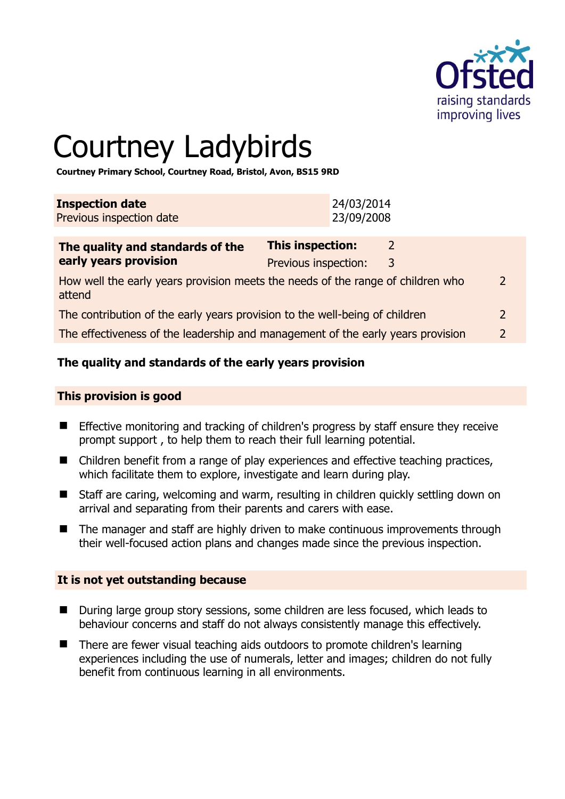

# Courtney Ladybirds

**Courtney Primary School, Courtney Road, Bristol, Avon, BS15 9RD** 

| <b>Inspection date</b>   | 24/03/2014 |
|--------------------------|------------|
| Previous inspection date | 23/09/2008 |

| The quality and standards of the                                                          | <b>This inspection:</b> |   |               |
|-------------------------------------------------------------------------------------------|-------------------------|---|---------------|
| early years provision                                                                     | Previous inspection:    | 3 |               |
| How well the early years provision meets the needs of the range of children who<br>attend |                         |   | $\mathcal{L}$ |
| The contribution of the early years provision to the well-being of children               |                         |   |               |
| The effectiveness of the leadership and management of the early years provision           |                         |   | $\mathcal{L}$ |

# **The quality and standards of the early years provision**

#### **This provision is good**

- **Effective monitoring and tracking of children's progress by staff ensure they receive** prompt support , to help them to reach their full learning potential.
- Children benefit from a range of play experiences and effective teaching practices, which facilitate them to explore, investigate and learn during play.
- Staff are caring, welcoming and warm, resulting in children quickly settling down on arrival and separating from their parents and carers with ease.
- The manager and staff are highly driven to make continuous improvements through their well-focused action plans and changes made since the previous inspection.

#### **It is not yet outstanding because**

- During large group story sessions, some children are less focused, which leads to behaviour concerns and staff do not always consistently manage this effectively.
- There are fewer visual teaching aids outdoors to promote children's learning experiences including the use of numerals, letter and images; children do not fully benefit from continuous learning in all environments.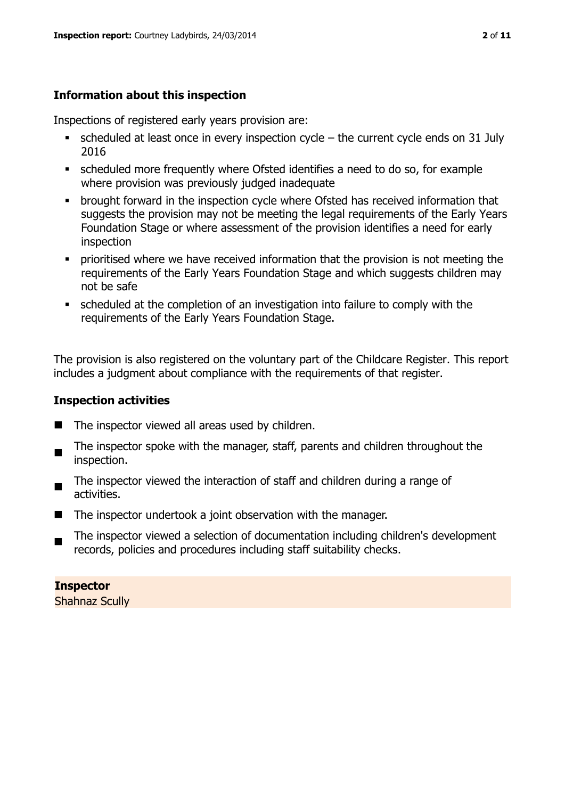# **Information about this inspection**

Inspections of registered early years provision are:

- $\bullet$  scheduled at least once in every inspection cycle the current cycle ends on 31 July 2016
- scheduled more frequently where Ofsted identifies a need to do so, for example where provision was previously judged inadequate
- **•** brought forward in the inspection cycle where Ofsted has received information that suggests the provision may not be meeting the legal requirements of the Early Years Foundation Stage or where assessment of the provision identifies a need for early inspection
- **•** prioritised where we have received information that the provision is not meeting the requirements of the Early Years Foundation Stage and which suggests children may not be safe
- scheduled at the completion of an investigation into failure to comply with the requirements of the Early Years Foundation Stage.

The provision is also registered on the voluntary part of the Childcare Register. This report includes a judgment about compliance with the requirements of that register.

## **Inspection activities**

- $\blacksquare$  The inspector viewed all areas used by children.
- The inspector spoke with the manager, staff, parents and children throughout the inspection.
- The inspector viewed the interaction of staff and children during a range of activities.
- The inspector undertook a joint observation with the manager.
- $\blacksquare$ The inspector viewed a selection of documentation including children's development records, policies and procedures including staff suitability checks.

**Inspector**  Shahnaz Scully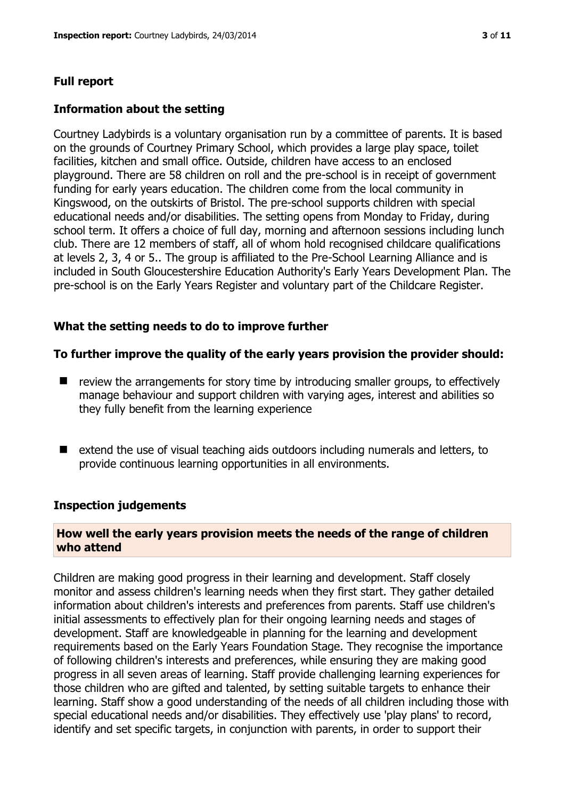# **Full report**

## **Information about the setting**

Courtney Ladybirds is a voluntary organisation run by a committee of parents. It is based on the grounds of Courtney Primary School, which provides a large play space, toilet facilities, kitchen and small office. Outside, children have access to an enclosed playground. There are 58 children on roll and the pre-school is in receipt of government funding for early years education. The children come from the local community in Kingswood, on the outskirts of Bristol. The pre-school supports children with special educational needs and/or disabilities. The setting opens from Monday to Friday, during school term. It offers a choice of full day, morning and afternoon sessions including lunch club. There are 12 members of staff, all of whom hold recognised childcare qualifications at levels 2, 3, 4 or 5.. The group is affiliated to the Pre-School Learning Alliance and is included in South Gloucestershire Education Authority's Early Years Development Plan. The pre-school is on the Early Years Register and voluntary part of the Childcare Register.

# **What the setting needs to do to improve further**

#### **To further improve the quality of the early years provision the provider should:**

- $\blacksquare$  review the arrangements for story time by introducing smaller groups, to effectively manage behaviour and support children with varying ages, interest and abilities so they fully benefit from the learning experience
- $\blacksquare$  extend the use of visual teaching aids outdoors including numerals and letters, to provide continuous learning opportunities in all environments.

#### **Inspection judgements**

#### **How well the early years provision meets the needs of the range of children who attend**

Children are making good progress in their learning and development. Staff closely monitor and assess children's learning needs when they first start. They gather detailed information about children's interests and preferences from parents. Staff use children's initial assessments to effectively plan for their ongoing learning needs and stages of development. Staff are knowledgeable in planning for the learning and development requirements based on the Early Years Foundation Stage. They recognise the importance of following children's interests and preferences, while ensuring they are making good progress in all seven areas of learning. Staff provide challenging learning experiences for those children who are gifted and talented, by setting suitable targets to enhance their learning. Staff show a good understanding of the needs of all children including those with special educational needs and/or disabilities. They effectively use 'play plans' to record, identify and set specific targets, in conjunction with parents, in order to support their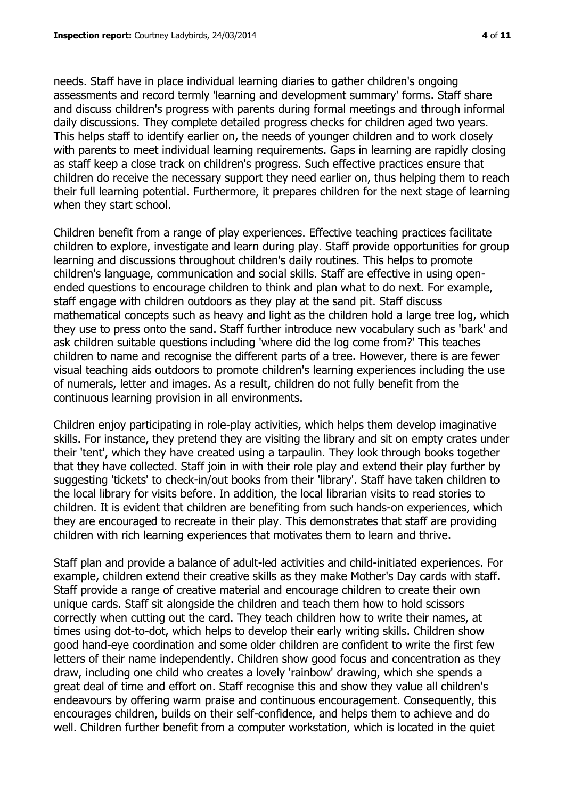needs. Staff have in place individual learning diaries to gather children's ongoing assessments and record termly 'learning and development summary' forms. Staff share and discuss children's progress with parents during formal meetings and through informal daily discussions. They complete detailed progress checks for children aged two years. This helps staff to identify earlier on, the needs of younger children and to work closely with parents to meet individual learning requirements. Gaps in learning are rapidly closing as staff keep a close track on children's progress. Such effective practices ensure that children do receive the necessary support they need earlier on, thus helping them to reach their full learning potential. Furthermore, it prepares children for the next stage of learning when they start school.

Children benefit from a range of play experiences. Effective teaching practices facilitate children to explore, investigate and learn during play. Staff provide opportunities for group learning and discussions throughout children's daily routines. This helps to promote children's language, communication and social skills. Staff are effective in using openended questions to encourage children to think and plan what to do next. For example, staff engage with children outdoors as they play at the sand pit. Staff discuss mathematical concepts such as heavy and light as the children hold a large tree log, which they use to press onto the sand. Staff further introduce new vocabulary such as 'bark' and ask children suitable questions including 'where did the log come from?' This teaches children to name and recognise the different parts of a tree. However, there is are fewer visual teaching aids outdoors to promote children's learning experiences including the use of numerals, letter and images. As a result, children do not fully benefit from the continuous learning provision in all environments.

Children enjoy participating in role-play activities, which helps them develop imaginative skills. For instance, they pretend they are visiting the library and sit on empty crates under their 'tent', which they have created using a tarpaulin. They look through books together that they have collected. Staff join in with their role play and extend their play further by suggesting 'tickets' to check-in/out books from their 'library'. Staff have taken children to the local library for visits before. In addition, the local librarian visits to read stories to children. It is evident that children are benefiting from such hands-on experiences, which they are encouraged to recreate in their play. This demonstrates that staff are providing children with rich learning experiences that motivates them to learn and thrive.

Staff plan and provide a balance of adult-led activities and child-initiated experiences. For example, children extend their creative skills as they make Mother's Day cards with staff. Staff provide a range of creative material and encourage children to create their own unique cards. Staff sit alongside the children and teach them how to hold scissors correctly when cutting out the card. They teach children how to write their names, at times using dot-to-dot, which helps to develop their early writing skills. Children show good hand-eye coordination and some older children are confident to write the first few letters of their name independently. Children show good focus and concentration as they draw, including one child who creates a lovely 'rainbow' drawing, which she spends a great deal of time and effort on. Staff recognise this and show they value all children's endeavours by offering warm praise and continuous encouragement. Consequently, this encourages children, builds on their self-confidence, and helps them to achieve and do well. Children further benefit from a computer workstation, which is located in the quiet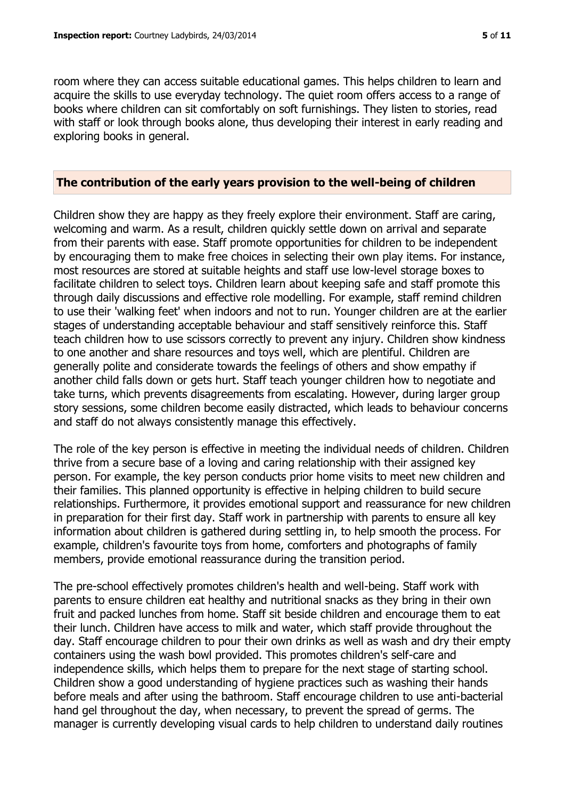room where they can access suitable educational games. This helps children to learn and acquire the skills to use everyday technology. The quiet room offers access to a range of books where children can sit comfortably on soft furnishings. They listen to stories, read with staff or look through books alone, thus developing their interest in early reading and exploring books in general.

#### **The contribution of the early years provision to the well-being of children**

Children show they are happy as they freely explore their environment. Staff are caring, welcoming and warm. As a result, children quickly settle down on arrival and separate from their parents with ease. Staff promote opportunities for children to be independent by encouraging them to make free choices in selecting their own play items. For instance, most resources are stored at suitable heights and staff use low-level storage boxes to facilitate children to select toys. Children learn about keeping safe and staff promote this through daily discussions and effective role modelling. For example, staff remind children to use their 'walking feet' when indoors and not to run. Younger children are at the earlier stages of understanding acceptable behaviour and staff sensitively reinforce this. Staff teach children how to use scissors correctly to prevent any injury. Children show kindness to one another and share resources and toys well, which are plentiful. Children are generally polite and considerate towards the feelings of others and show empathy if another child falls down or gets hurt. Staff teach younger children how to negotiate and take turns, which prevents disagreements from escalating. However, during larger group story sessions, some children become easily distracted, which leads to behaviour concerns and staff do not always consistently manage this effectively.

The role of the key person is effective in meeting the individual needs of children. Children thrive from a secure base of a loving and caring relationship with their assigned key person. For example, the key person conducts prior home visits to meet new children and their families. This planned opportunity is effective in helping children to build secure relationships. Furthermore, it provides emotional support and reassurance for new children in preparation for their first day. Staff work in partnership with parents to ensure all key information about children is gathered during settling in, to help smooth the process. For example, children's favourite toys from home, comforters and photographs of family members, provide emotional reassurance during the transition period.

The pre-school effectively promotes children's health and well-being. Staff work with parents to ensure children eat healthy and nutritional snacks as they bring in their own fruit and packed lunches from home. Staff sit beside children and encourage them to eat their lunch. Children have access to milk and water, which staff provide throughout the day. Staff encourage children to pour their own drinks as well as wash and dry their empty containers using the wash bowl provided. This promotes children's self-care and independence skills, which helps them to prepare for the next stage of starting school. Children show a good understanding of hygiene practices such as washing their hands before meals and after using the bathroom. Staff encourage children to use anti-bacterial hand gel throughout the day, when necessary, to prevent the spread of germs. The manager is currently developing visual cards to help children to understand daily routines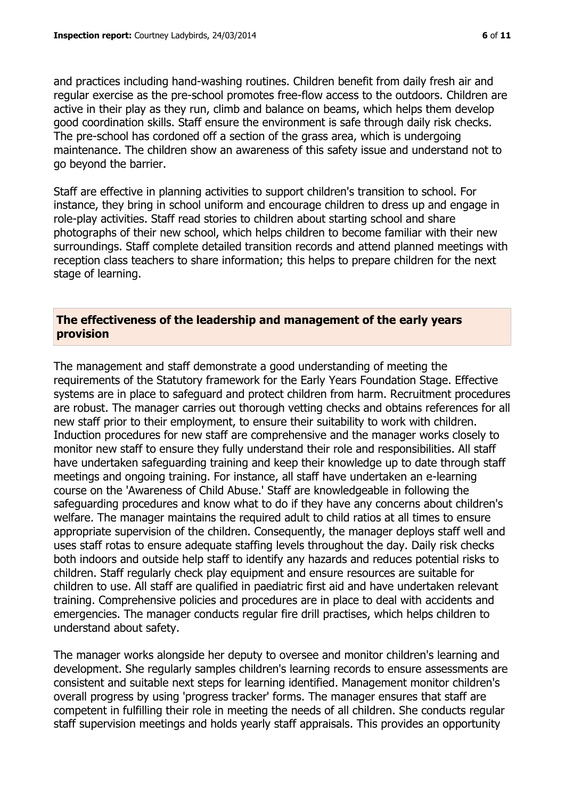and practices including hand-washing routines. Children benefit from daily fresh air and regular exercise as the pre-school promotes free-flow access to the outdoors. Children are active in their play as they run, climb and balance on beams, which helps them develop good coordination skills. Staff ensure the environment is safe through daily risk checks. The pre-school has cordoned off a section of the grass area, which is undergoing maintenance. The children show an awareness of this safety issue and understand not to go beyond the barrier.

Staff are effective in planning activities to support children's transition to school. For instance, they bring in school uniform and encourage children to dress up and engage in role-play activities. Staff read stories to children about starting school and share photographs of their new school, which helps children to become familiar with their new surroundings. Staff complete detailed transition records and attend planned meetings with reception class teachers to share information; this helps to prepare children for the next stage of learning.

# **The effectiveness of the leadership and management of the early years provision**

The management and staff demonstrate a good understanding of meeting the requirements of the Statutory framework for the Early Years Foundation Stage. Effective systems are in place to safeguard and protect children from harm. Recruitment procedures are robust. The manager carries out thorough vetting checks and obtains references for all new staff prior to their employment, to ensure their suitability to work with children. Induction procedures for new staff are comprehensive and the manager works closely to monitor new staff to ensure they fully understand their role and responsibilities. All staff have undertaken safeguarding training and keep their knowledge up to date through staff meetings and ongoing training. For instance, all staff have undertaken an e-learning course on the 'Awareness of Child Abuse.' Staff are knowledgeable in following the safeguarding procedures and know what to do if they have any concerns about children's welfare. The manager maintains the required adult to child ratios at all times to ensure appropriate supervision of the children. Consequently, the manager deploys staff well and uses staff rotas to ensure adequate staffing levels throughout the day. Daily risk checks both indoors and outside help staff to identify any hazards and reduces potential risks to children. Staff regularly check play equipment and ensure resources are suitable for children to use. All staff are qualified in paediatric first aid and have undertaken relevant training. Comprehensive policies and procedures are in place to deal with accidents and emergencies. The manager conducts regular fire drill practises, which helps children to understand about safety.

The manager works alongside her deputy to oversee and monitor children's learning and development. She regularly samples children's learning records to ensure assessments are consistent and suitable next steps for learning identified. Management monitor children's overall progress by using 'progress tracker' forms. The manager ensures that staff are competent in fulfilling their role in meeting the needs of all children. She conducts regular staff supervision meetings and holds yearly staff appraisals. This provides an opportunity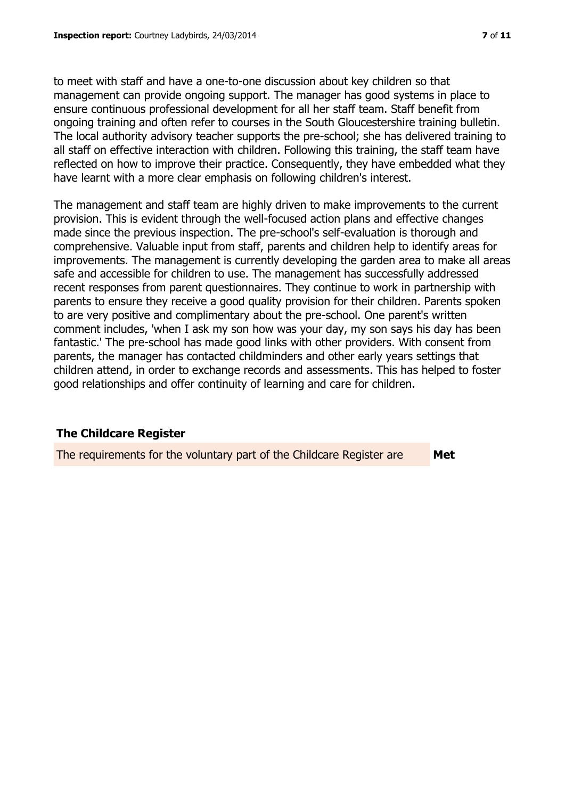to meet with staff and have a one-to-one discussion about key children so that management can provide ongoing support. The manager has good systems in place to ensure continuous professional development for all her staff team. Staff benefit from ongoing training and often refer to courses in the South Gloucestershire training bulletin. The local authority advisory teacher supports the pre-school; she has delivered training to all staff on effective interaction with children. Following this training, the staff team have reflected on how to improve their practice. Consequently, they have embedded what they have learnt with a more clear emphasis on following children's interest.

The management and staff team are highly driven to make improvements to the current provision. This is evident through the well-focused action plans and effective changes made since the previous inspection. The pre-school's self-evaluation is thorough and comprehensive. Valuable input from staff, parents and children help to identify areas for improvements. The management is currently developing the garden area to make all areas safe and accessible for children to use. The management has successfully addressed recent responses from parent questionnaires. They continue to work in partnership with parents to ensure they receive a good quality provision for their children. Parents spoken to are very positive and complimentary about the pre-school. One parent's written comment includes, 'when I ask my son how was your day, my son says his day has been fantastic.' The pre-school has made good links with other providers. With consent from parents, the manager has contacted childminders and other early years settings that children attend, in order to exchange records and assessments. This has helped to foster good relationships and offer continuity of learning and care for children.

# **The Childcare Register**

The requirements for the voluntary part of the Childcare Register are **Met**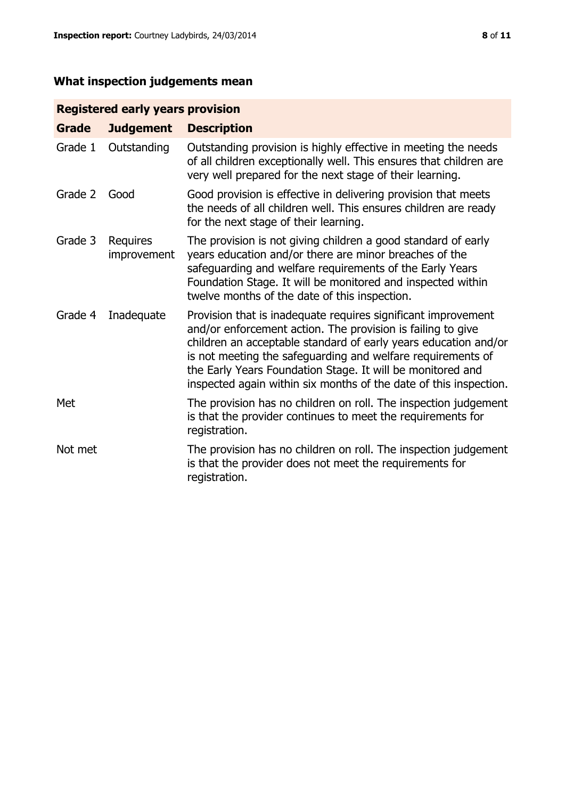# **What inspection judgements mean**

# **Registered early years provision**

| <b>Grade</b> | <b>Judgement</b>               | <b>Description</b>                                                                                                                                                                                                                                                                                                                                                                                |
|--------------|--------------------------------|---------------------------------------------------------------------------------------------------------------------------------------------------------------------------------------------------------------------------------------------------------------------------------------------------------------------------------------------------------------------------------------------------|
| Grade 1      | Outstanding                    | Outstanding provision is highly effective in meeting the needs<br>of all children exceptionally well. This ensures that children are<br>very well prepared for the next stage of their learning.                                                                                                                                                                                                  |
| Grade 2      | Good                           | Good provision is effective in delivering provision that meets<br>the needs of all children well. This ensures children are ready<br>for the next stage of their learning.                                                                                                                                                                                                                        |
| Grade 3      | <b>Requires</b><br>improvement | The provision is not giving children a good standard of early<br>years education and/or there are minor breaches of the<br>safeguarding and welfare requirements of the Early Years<br>Foundation Stage. It will be monitored and inspected within<br>twelve months of the date of this inspection.                                                                                               |
| Grade 4      | Inadequate                     | Provision that is inadequate requires significant improvement<br>and/or enforcement action. The provision is failing to give<br>children an acceptable standard of early years education and/or<br>is not meeting the safeguarding and welfare requirements of<br>the Early Years Foundation Stage. It will be monitored and<br>inspected again within six months of the date of this inspection. |
| Met          |                                | The provision has no children on roll. The inspection judgement<br>is that the provider continues to meet the requirements for<br>registration.                                                                                                                                                                                                                                                   |
| Not met      |                                | The provision has no children on roll. The inspection judgement<br>is that the provider does not meet the requirements for<br>registration.                                                                                                                                                                                                                                                       |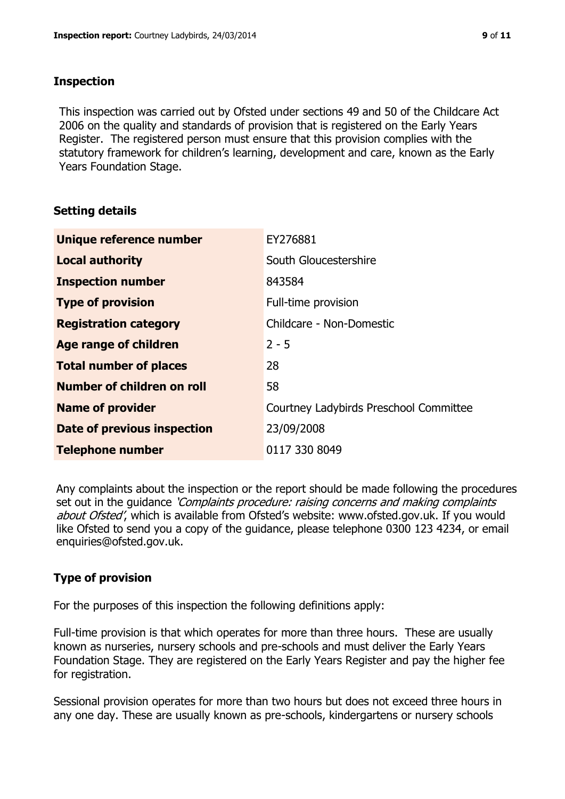#### **Inspection**

This inspection was carried out by Ofsted under sections 49 and 50 of the Childcare Act 2006 on the quality and standards of provision that is registered on the Early Years Register. The registered person must ensure that this provision complies with the statutory framework for children's learning, development and care, known as the Early Years Foundation Stage.

# **Setting details**

| Unique reference number            | EY276881                               |
|------------------------------------|----------------------------------------|
| <b>Local authority</b>             | South Gloucestershire                  |
| <b>Inspection number</b>           | 843584                                 |
| <b>Type of provision</b>           | Full-time provision                    |
| <b>Registration category</b>       | Childcare - Non-Domestic               |
| <b>Age range of children</b>       | $2 - 5$                                |
| <b>Total number of places</b>      | 28                                     |
| Number of children on roll         | 58                                     |
| <b>Name of provider</b>            | Courtney Ladybirds Preschool Committee |
| <b>Date of previous inspection</b> | 23/09/2008                             |
| <b>Telephone number</b>            | 0117 330 8049                          |

Any complaints about the inspection or the report should be made following the procedures set out in the guidance *'Complaints procedure: raising concerns and making complaints* about Ofsted', which is available from Ofsted's website: www.ofsted.gov.uk. If you would like Ofsted to send you a copy of the guidance, please telephone 0300 123 4234, or email enquiries@ofsted.gov.uk.

# **Type of provision**

For the purposes of this inspection the following definitions apply:

Full-time provision is that which operates for more than three hours. These are usually known as nurseries, nursery schools and pre-schools and must deliver the Early Years Foundation Stage. They are registered on the Early Years Register and pay the higher fee for registration.

Sessional provision operates for more than two hours but does not exceed three hours in any one day. These are usually known as pre-schools, kindergartens or nursery schools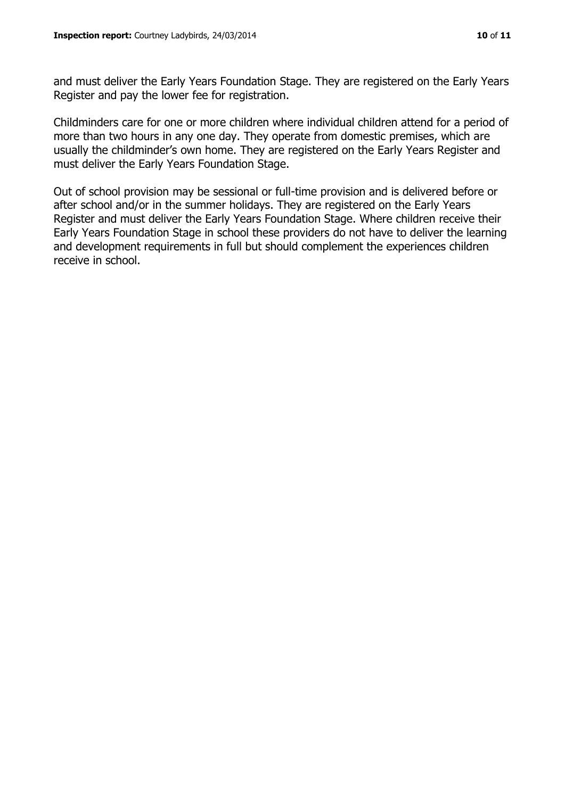and must deliver the Early Years Foundation Stage. They are registered on the Early Years Register and pay the lower fee for registration.

Childminders care for one or more children where individual children attend for a period of more than two hours in any one day. They operate from domestic premises, which are usually the childminder's own home. They are registered on the Early Years Register and must deliver the Early Years Foundation Stage.

Out of school provision may be sessional or full-time provision and is delivered before or after school and/or in the summer holidays. They are registered on the Early Years Register and must deliver the Early Years Foundation Stage. Where children receive their Early Years Foundation Stage in school these providers do not have to deliver the learning and development requirements in full but should complement the experiences children receive in school.